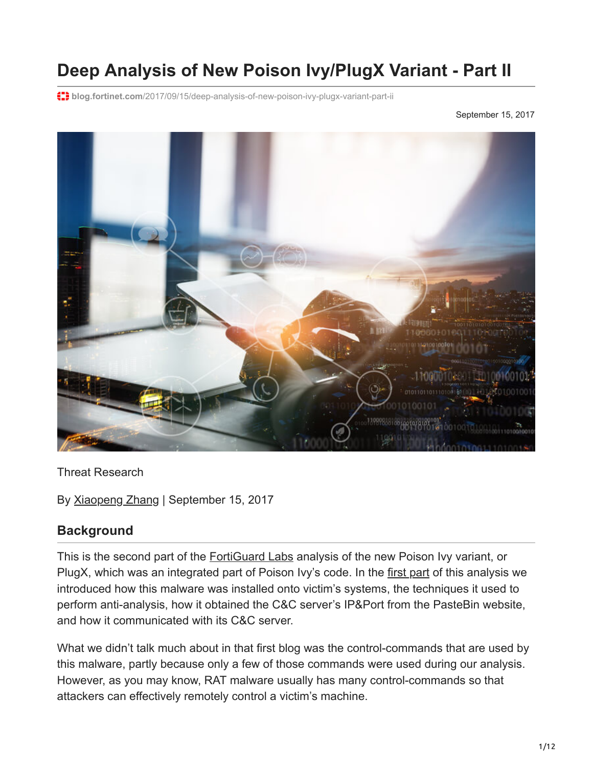# **Deep Analysis of New Poison Ivy/PlugX Variant - Part II**

**blog.fortinet.com**[/2017/09/15/deep-analysis-of-new-poison-ivy-plugx-variant-part-ii](https://blog.fortinet.com/2017/09/15/deep-analysis-of-new-poison-ivy-plugx-variant-part-ii)

September 15, 2017



### Threat Research

By [Xiaopeng Zhang](https://blog.fortinet.com/blog/search?author=Xiaopeng+Zhang) | September 15, 2017

## **Background**

This is the second part of the **[FortiGuard Labs](https://fortiguard.com/)** analysis of the new Poison Ivy variant, or PlugX, which was an integrated part of Poison Ivy's code. In the [first part](http://blog.fortinet.com/2017/08/23/deep-analysis-of-new-poison-ivy-variant) of this analysis we introduced how this malware was installed onto victim's systems, the techniques it used to perform anti-analysis, how it obtained the C&C server's IP&Port from the PasteBin website, and how it communicated with its C&C server.

What we didn't talk much about in that first blog was the control-commands that are used by this malware, partly because only a few of those commands were used during our analysis. However, as you may know, RAT malware usually has many control-commands so that attackers can effectively remotely control a victim's machine.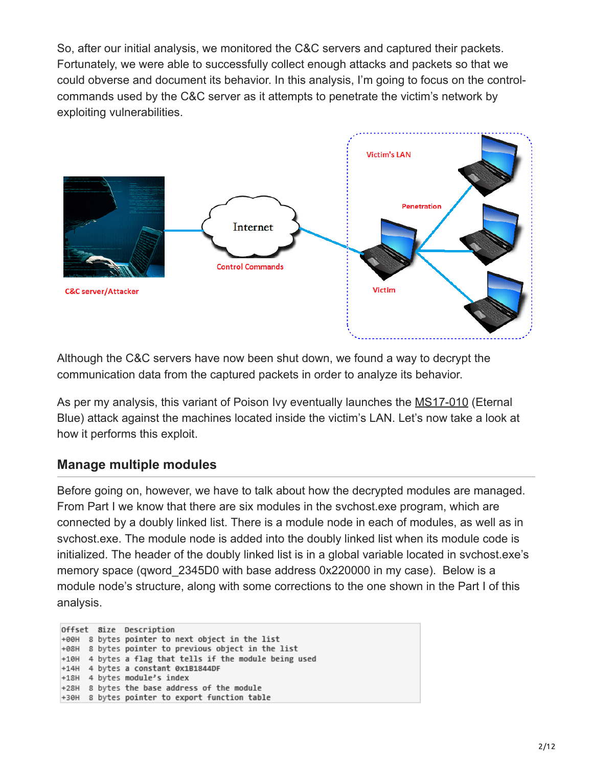So, after our initial analysis, we monitored the C&C servers and captured their packets. Fortunately, we were able to successfully collect enough attacks and packets so that we could obverse and document its behavior. In this analysis, I'm going to focus on the controlcommands used by the C&C server as it attempts to penetrate the victim's network by exploiting vulnerabilities.



Although the C&C servers have now been shut down, we found a way to decrypt the communication data from the captured packets in order to analyze its behavior.

As per my analysis, this variant of Poison Ivy eventually launches the [MS17-010](https://technet.microsoft.com/en-us/library/security/ms17-010.aspx) (Eternal Blue) attack against the machines located inside the victim's LAN. Let's now take a look at how it performs this exploit.

## **Manage multiple modules**

Before going on, however, we have to talk about how the decrypted modules are managed. From Part I we know that there are six modules in the svchost.exe program, which are connected by a doubly linked list. There is a module node in each of modules, as well as in svchost.exe. The module node is added into the doubly linked list when its module code is initialized. The header of the doubly linked list is in a global variable located in svchost.exe's memory space (qword 2345D0 with base address 0x220000 in my case). Below is a module node's structure, along with some corrections to the one shown in the Part I of this analysis.

|  |  | Offset Size Description |                                                           |
|--|--|-------------------------|-----------------------------------------------------------|
|  |  |                         | +00H 8 bytes pointer to next object in the list           |
|  |  |                         | +08H 8 bytes pointer to previous object in the list       |
|  |  |                         | $+10H$ 4 bytes a flag that tells if the module being used |
|  |  |                         | +14H 4 bytes a constant 0x1B1844DF                        |
|  |  |                         | +18H 4 bytes module's index                               |
|  |  |                         | +28H 8 bytes the base address of the module               |
|  |  |                         | +30H 8 bytes pointer to export function table             |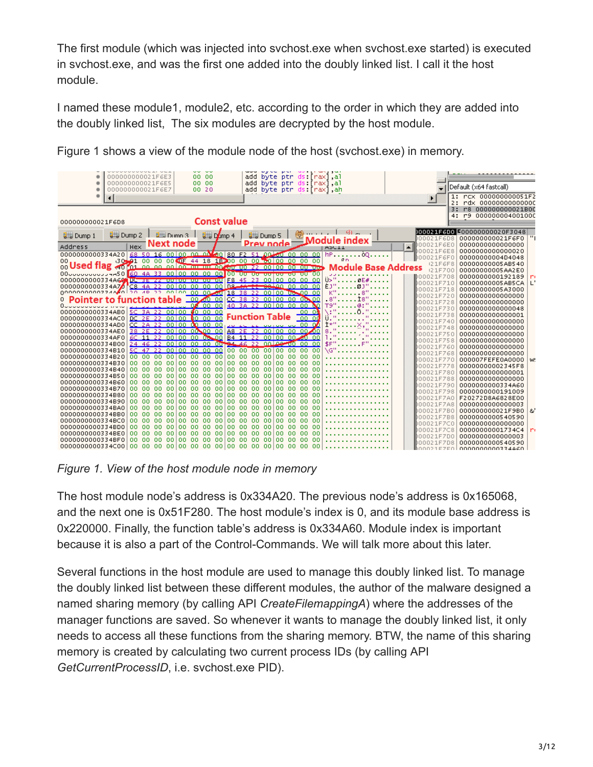The first module (which was injected into svchost.exe when svchost.exe started) is executed in svchost.exe, and was the first one added into the doubly linked list. I call it the host module.

I named these module1, module2, etc. according to the order in which they are added into the doubly linked list, The six modules are decrypted by the host module.

|  | Figure 1 shows a view of the module node of the host (svchost.exe) in memory. |  |  |
|--|-------------------------------------------------------------------------------|--|--|
|  |                                                                               |  |  |

ומקומים הם יום מסוים שמש המשון היום לא היו המשפטים.

| 000000000021F6E3<br>00 00                                                                                                                        | add byte ptr ds [rax] al                                  |                          |                                         |
|--------------------------------------------------------------------------------------------------------------------------------------------------|-----------------------------------------------------------|--------------------------|-----------------------------------------|
| 000000000021F6E5<br>00 00<br>000000000021F6E7<br>00 20                                                                                           | add byte ptr ds [rax] al                                  |                          | Default (x64 fastcall)                  |
|                                                                                                                                                  | add byte ptr ds [rax], ah                                 |                          | 1: rcx 000000000051F2                   |
| $\blacksquare$                                                                                                                                   |                                                           |                          | 2: rdx 00000000000000                   |
|                                                                                                                                                  |                                                           |                          | r8 000000000021B00                      |
|                                                                                                                                                  |                                                           |                          | 4: r9 000000004001000                   |
| <b>Const value</b><br>000000000021F6D8                                                                                                           |                                                           |                          |                                         |
|                                                                                                                                                  | -9) - 1                                                   |                          | 000021F6D0 5000000000020F3048           |
| $\frac{1}{2}$ Dump 4<br>$\frac{1}{2}$ Dump 2<br>$\n  Q 1 Q 1 Q 1 Q 1 Q 1 Q 1 Q 1 Q 1 Q 1 Q 1 Q 1 Q 1 Q 1 Q 1 Q 1 Q <$<br><b>U_J</b> Dump 1       | <b>U</b> Dump 5<br>Module index                           | 000021F6D8               | 000000000021F6F0                        |
| $\frac{1}{\text{Hex}}$ Next node<br><b>Address</b>                                                                                               | Prev node<br><b>ASUIL</b>                                 | 000021F6E0<br>٠          | 0000000000000000                        |
| 68 50 16 00 00 00 0 <sup>1</sup> 30 80 F2 51 00 00 00 00 00<br>0000000000334A20                                                                  | $HP$                                                      | 000021F6E8               | 0000000000000020                        |
| 30 01 00 00 00 00 0F 44 18 18 00 00 00 00 00 00 00 00<br>OO.                                                                                     | R <sub>D</sub>                                            | boooz1F6F0               | 00000000004D4048                        |
| 00 USECI TIAR <0 for an an antion member for up 22 00 00 00 00 00 00                                                                             | <b>Module Base Address</b>                                | 121F6F8                  | 00000000005AB540                        |
|                                                                                                                                                  |                                                           | 121F700                  | 00000000005AA2E0                        |
| 00000000000334A66 UC 3E 44 UU UU UU UU UU E8 45 23 00 00 00 00 00 00                                                                             | Ü>"                                                       | D00021F708               | 0000000000192189<br>n<br>$\mathbb{L}^+$ |
| 00000000000334A70 C8 4A 22 00 00<br>nn                                                                                                           | 00 00 02- <del>4A 22 08 0</del> 0 00 00 00<br>ÈJ"<br>øJ". | 000021F710<br>000021F718 | 00000000005AB5CA<br>00000000005A3000    |
| 00000000000224A 0 20 4P 22 00 00 00 00 00 00 18 38 22 00 00 00 00 00                                                                             |                                                           | 000021F720               | 0000000000000000                        |
| Pointer to function table                                                                                                                        | .8"<br>ts'                                                | 000021F728               | 0000000000000000                        |
| 000000                                                                                                                                           | 40 3A 22 00 00 00 00 00<br>T9"                            | 000021F730               | 0000000000000048                        |
| 5C 3A 22 00 00 00 00 00<br>0000000000334AB0                                                                                                      | 00 OM                                                     | D00021F738               | 0000000000000001                        |
| DC 2E 22 00 00 00 00 00<br>0000000000334AC0                                                                                                      | <b>Function Table</b><br>000                              | 000021F748               | 0000000000000000                        |
| $CC$ 2A 22 00 00 00 00 00<br>0000000000334AD0                                                                                                    | Ì*"<br>22 00 UU UU 00 00                                  | 000021F748               | 0000000000000000                        |
| 38 2E 22 00 00 00 00 00<br>0000000000334AE0                                                                                                      | g<br>A8 2E 22 00 00 00 00 00                              | 000021F750               | 0000000000000000                        |
| 6C 11 22 00 00 00 00 00 00 84 11 22 00 00 00 00 00<br>0000000000334AF0<br>24 46 22 00 00 00 00 00 00 94 46 22 00 00 00 00 00<br>0000000000334B00 |                                                           | 000021F758               | 0000000000000000                        |
| 0000000000334B10                                                                                                                                 | \$F"<br>۱G'                                               | 000021F760               | 0000000000000000                        |
| 000000<br>000000<br>00100<br>100 00<br>0000000000334B20                                                                                          | 0000<br>100 00<br>0000                                    | 000021F768               | 0000000000000000                        |
| 0000000000334B30<br>00 00 00 00 00                                                                                                               | 00 00 00 00 00 00 00 00 00 00 00 00                       | 000021F770               | 000007FEFE0A0000 W                      |
| 00,00,00<br>00 00<br>00 00 00<br>0000000000334B40                                                                                                | 00 00 00 00 00 00<br>0000                                 | 000021F778               | 00000000002345F8                        |
| 00 00 00 00 00 00 00 00<br>0000000000334B50                                                                                                      | 100 00 00 00<br>100 00 00 00                              | 000021F780               | 0000000000000001                        |
| 0000000000334B60<br>00 00 00 00 00                                                                                                               | 00 00 00 00 00 00 00 00 00<br>0000                        | 000021F788               | 0000000000000000                        |
| 0000000000334B70<br>00 00 00 00 00                                                                                                               | 00 00 00 00 00 00 00 00 00<br>0000                        | 000021F790<br>000021F798 | 0000000000334A60<br>0000000000191009    |
| 0000000000334B80                                                                                                                                 |                                                           | 000021F7A0               | F20272D8A6828E00                        |
| 00,00,00<br>00 00<br>00 00 00 00 00 00 00<br>0000000000334B90                                                                                    | 10000<br>0000                                             | 000021F7A8               | 0000000000000003                        |
| 0000000000334BA0                                                                                                                                 |                                                           | 000021F7B0               | $\mathbf{a}$<br>000000000021F9B0        |
| 00<br>$00-00$<br>00 <sub>1</sub><br>00 00<br>0000<br>10000<br>0000000000334BB0                                                                   | 00 00 00 00<br>0000                                       | 000021F7B8               | 0000000000540590                        |
| 0000000000334BC0<br>00 00 00 00 00 00 00 00                                                                                                      | 100 00 00 00<br>100 00 00 00                              | 000021F7C0               | 0000000000000000                        |
| 0000000000334BD0<br>00 00 00 00 00                                                                                                               | 00 00 00 00 00 00 00 00 00<br>0000                        | 000021F7C8               | 00000000001734C4<br>r.                  |
| 0000000000334BE0                                                                                                                                 | 0000                                                      | 000021F7D0               | 0000000000000003                        |
| 0000000000334BF0                                                                                                                                 | 0000                                                      | 000021F7D8               | 0000000000540590                        |
|                                                                                                                                                  |                                                           | ⊪∩∩∩⊇1⊑ZEA               | 0000000000334460                        |

*Figure 1. View of the host module node in memory*

The host module node's address is 0x334A20. The previous node's address is 0x165068, and the next one is 0x51F280. The host module's index is 0, and its module base address is 0x220000. Finally, the function table's address is 0x334A60. Module index is important because it is also a part of the Control-Commands. We will talk more about this later.

Several functions in the host module are used to manage this doubly linked list. To manage the doubly linked list between these different modules, the author of the malware designed a named sharing memory (by calling API *CreateFilemappingA*) where the addresses of the manager functions are saved. So whenever it wants to manage the doubly linked list, it only needs to access all these functions from the sharing memory. BTW, the name of this sharing memory is created by calculating two current process IDs (by calling API *GetCurrentProcessID*, i.e. svchost.exe PID).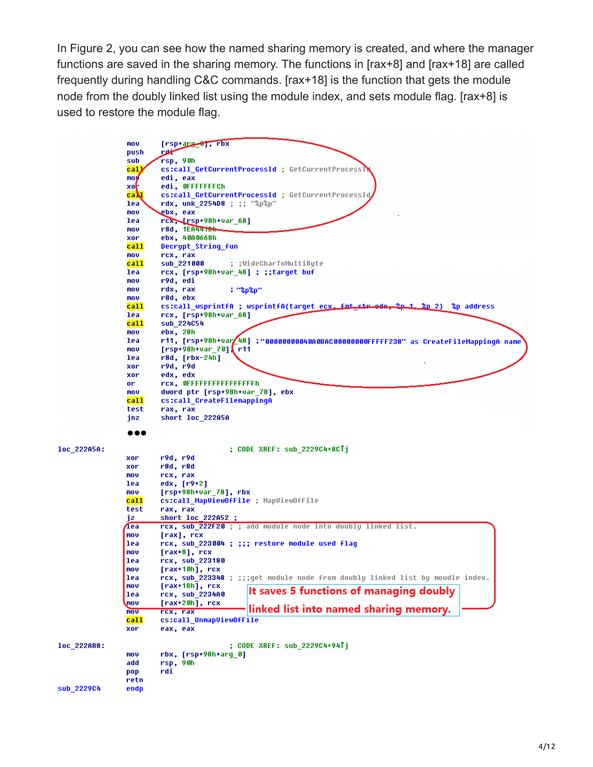In Figure 2, you can see how the named sharing memory is created, and where the manager functions are saved in the sharing memory. The functions in [rax+8] and [rax+18] are called frequently during handling C&C commands. [rax+18] is the function that gets the module node from the doubly linked list using the module index, and sets module flag. [rax+8] is used to restore the module flag.

|             | mov         | $[rsp+arg-\theta], rbx$                                                                       |
|-------------|-------------|-----------------------------------------------------------------------------------------------|
|             | push        | سينعت                                                                                         |
|             | sub         | rsp, 90h                                                                                      |
|             | cal]        | cs:call_GetCurrentProcessId ; GetCurrentProcessM                                              |
|             | moy         | edi, eax                                                                                      |
|             | xoŀ         | edi, OFFFFFFFCh                                                                               |
|             | caM         | cs:call_GetCurrentProcessId ; GetCurrentProcessId                                             |
|             | lea         | rdx, unk 2254D8 ; ;; "%p%p"                                                                   |
|             | mou         | ebx, eax                                                                                      |
|             | lea         | rcx, [rsp+98h+var 68]                                                                         |
|             | mou         | r8d, 1EA4410h                                                                                 |
|             | xor         | ebx, 40A0668h                                                                                 |
|             | <b>call</b> | Decrypt String fun                                                                            |
|             | mov         | rcx, rax                                                                                      |
|             | call        | sub 221000<br>; ;WideCharToMultiByte                                                          |
|             | lea         | rcx, [rsp+98h+var_48] ; ;;target buf                                                          |
|             | mov         | r9d, edi                                                                                      |
|             | mov         | rdx, rax<br>: "8p8p"                                                                          |
|             | mov         | r8d, ebx                                                                                      |
|             | call        | cs:call wsprintfA ; wsprintfA(tarqet e <u>cx. fmt str od</u> x,<br>$2p-1-2p$ 2)<br>%p address |
|             | lea         | rcx, [rsp+98h+var 68]                                                                         |
|             | call        | sub 224054                                                                                    |
|             | mov         | ebx, 28h                                                                                      |
|             | lea         | r11, [rsp+98h+var248] ;"00000000040A0BAC00000000FFFFF238" as CreateFileMappingA name          |
|             | mov         | $[rsp+98h+var_70]$ r11                                                                        |
|             | lea         | $r8d, [rbx-24h]$                                                                              |
|             | xor         | r9d, r9d                                                                                      |
|             | xor         | edx, edx                                                                                      |
|             | or          | rcx, OFFFFFFFFFFFFFFFFF                                                                       |
|             | mov         | dword ptr [rsp+98h+var_78], ebx                                                               |
|             | call        | cs:call CreateFilemappingA                                                                    |
|             | test        | rax, rax                                                                                      |
|             | inz.        | short loc_222A5A                                                                              |
|             |             |                                                                                               |
|             | .           |                                                                                               |
|             |             |                                                                                               |
| loc 222A5A: |             | ; CODE XREF: sub 2229C4+8CTj                                                                  |
|             | xor         | r9d, r9d                                                                                      |
|             | xor         |                                                                                               |
|             |             | r8d, r8d                                                                                      |
|             | mov         | rcx, rax                                                                                      |
|             | lea         | edx, [r9+2]                                                                                   |
|             | mov         | $[rsp+98h+var 78]$ , rbx                                                                      |
|             | call        | cs:call MapViewOfFile ; MapViewOfFile                                                         |
|             | test        | rax, rax                                                                                      |
|             | jz.         | short loc 222A52 ;                                                                            |
|             | Æea         | rcx, sub 222F20 ; ; add module node into doubly linked list.                                  |
|             | mov         | [rax], rcx                                                                                    |
|             | lea         | rcx, sub 223004 ; ;;; restore module used flaq                                                |
|             | mov         | $[{\rm{rax+8}}]$ , rcx                                                                        |
|             | lea         | rcx, sub 223180                                                                               |
|             | mov         | $[raw+10h]$ , $rcx$                                                                           |
|             | lea         | rcx, sub_223348 ; ;;;get module node from doubly linked list by moudle index.                 |
|             | mov         | $[raw+18h]$ , rcx                                                                             |
|             | lea         | It saves 5 functions of managing doubly<br>rcx, sub 2234A0                                    |
|             | mov         | $\lceil \text{rax+20h} \rceil$ , rcx                                                          |
|             | mou         | linked list into named sharing memory.<br>rcx, rax                                            |
|             | <u>call</u> | cs:call_UnmapViewOfFile                                                                       |
|             | xor         | eax, eax                                                                                      |
|             |             |                                                                                               |
| loc_222AB8: |             | ; CODE XREF: sub_2229C4+94Tj                                                                  |
|             | mov         | rbx, [rsp+98h+arg_0]                                                                          |
|             | add         | rsp, 90h                                                                                      |
|             | pop         | rdi                                                                                           |
|             | retn        |                                                                                               |
| sub 2229C4  | endp        |                                                                                               |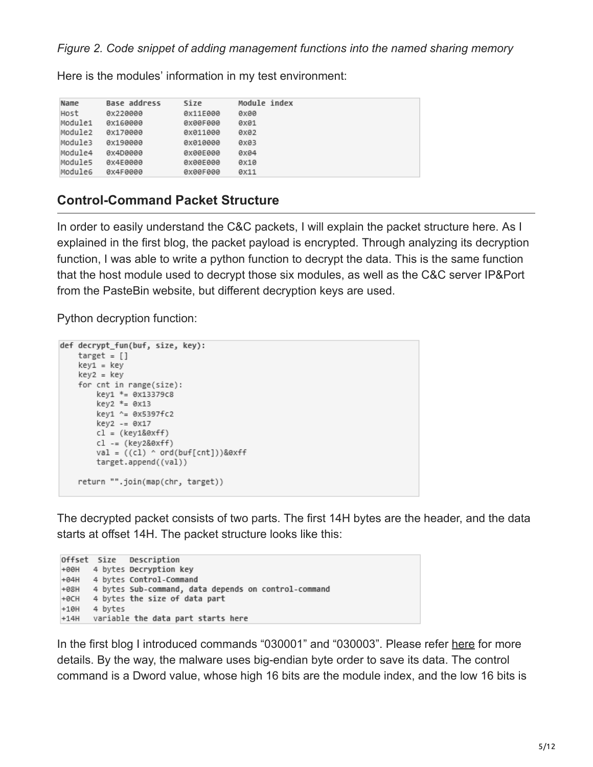Here is the modules' information in my test environment:

| Name    | Base address | Size     | Module index |
|---------|--------------|----------|--------------|
| Host    | 0x220000     | 0x11E000 | <b>Oxee</b>  |
| Module1 | 0x160000     | 0x00F000 | 0x01         |
| Module2 | 0x170000     | 0x011000 | 0x02         |
| Module3 | 0x190000     | 0x010000 | 0x03         |
| Module4 | 0x4D0000     | 0x00E000 | 0x04         |
| Module5 | 0x4E0000     | 0x00E000 | 0x10         |
| Module6 | 0x4F0000     | 0x00F000 | 0x11         |

## **Control-Command Packet Structure**

In order to easily understand the C&C packets, I will explain the packet structure here. As I explained in the first blog, the packet payload is encrypted. Through analyzing its decryption function, I was able to write a python function to decrypt the data. This is the same function that the host module used to decrypt those six modules, as well as the C&C server IP&Port from the PasteBin website, but different decryption keys are used.

Python decryption function:

```
def decrypt_fun(buf, size, key):
   target = []key1 = keykey2 = key
    for cnt in range(size):
       key1 *= 0x13379c8
       key2 * = 0x13key1 ^= 0x5397fc2
       key2 - = 0x17cl = (key1&@xff)c1 = (key2&0xff)val = ((c1) \land ord(buff[cnt]))&0xff
       target.append((val))
   return "".join(map(chr, target))
```
The decrypted packet consists of two parts. The first 14H bytes are the header, and the data starts at offset 14H. The packet structure looks like this:

```
Offset Size
              Description
+00H 4 bytes Decryption key
+04H 4 bytes Control-Command
+08H 4 bytes Sub-command, data depends on control-command
+0CH 4 bytes the size of data part
+10H4 bytes
     variable the data part starts here
+14H
```
In the first blog I introduced commands "030001" and "030003". Please refer [here](http://blog.fortinet.com/2017/08/23/deep-analysis-of-new-poison-ivy-variant) for more details. By the way, the malware uses big-endian byte order to save its data. The control command is a Dword value, whose high 16 bits are the module index, and the low 16 bits is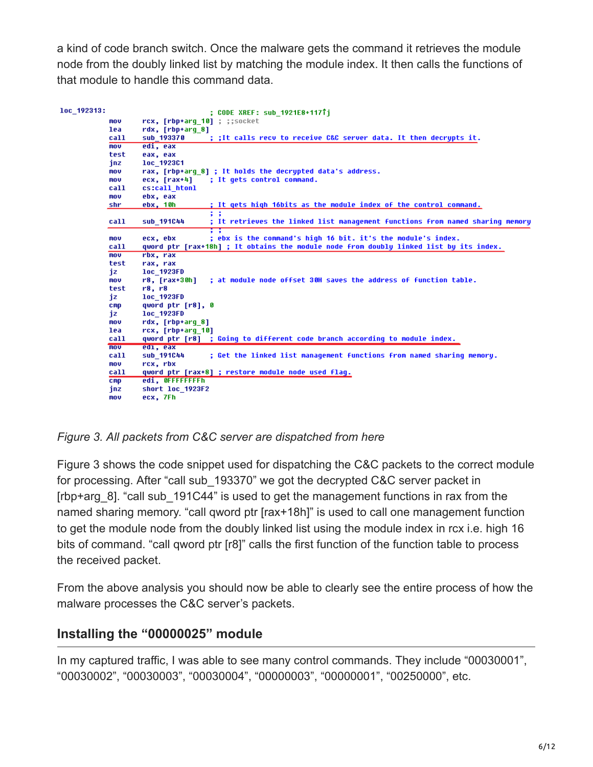a kind of code branch switch. Once the malware gets the command it retrieves the module node from the doubly linked list by matching the module index. It then calls the functions of that module to handle this command data.

| loc 192313: |                   | : CODE XREF: sub 1921E8+1171i                                                               |
|-------------|-------------------|---------------------------------------------------------------------------------------------|
|             | mov               | rcx, [rbp+arq 10] : ::socket                                                                |
|             | lea               | rdx, [rbp+arq 8]                                                                            |
|             | call              | sub 193370<br>; ;It calls recu to receive C&C server data. It then decrupts it.             |
|             | mou               | edi, eax                                                                                    |
|             | test              | eax, eax                                                                                    |
|             | jnz               | loc 192301                                                                                  |
|             | mov               | rax, [rbp+arq 8] ; It holds the decrypted data's address.                                   |
|             | mov               | : It gets control command.<br>ecx, [rax+4]                                                  |
|             | call              | cs:call htonl                                                                               |
|             | mou               | ebx, eax                                                                                    |
|             | shr               | ebx, 10h<br>; It gets high 16bits as the module index of the control command.               |
|             |                   | $\ddot{ }$                                                                                  |
|             | call              | : It retrieves the linked list management functions from named sharing memory<br>sub 191044 |
|             |                   | <b>. .</b>                                                                                  |
|             | mov.              | ; ebx is the command's high 16 bit. it's the module's index.<br>ecx, ebx                    |
|             | call              | qword ptr [rax+18h] ; It obtains the module node from doubly linked list by its index.      |
|             | $\overline{m}$ ov | rbx, rax                                                                                    |
|             | test              | rax, rax                                                                                    |
|             | iz                | loc 1923FD                                                                                  |
|             | mov               | $r8, [rax+30h]$<br>; at module node offset 30H saves the address of function table.         |
|             | test              | r8. r8                                                                                      |
|             | iz                | loc 1923FD                                                                                  |
|             | C <sub>mp</sub>   | qword ptr [r8], 0                                                                           |
|             | iz                | loc 1923FD                                                                                  |
|             | mov               | rdx, [rbp+arq 8]                                                                            |
|             | lea               | rcx, [rbp+arq 10]                                                                           |
|             | call              | qword ptr [r8] ; Going to different code branch according to module index.                  |
|             | $\overline{m}$ ov | edi, eax                                                                                    |
|             | call              | ; Get the linked list management functions from named sharing memory.<br>sub 191044         |
|             | mov               | rcx, rbx                                                                                    |
|             | call              | qword ptr [rax+8] ; restore module node used flaq.                                          |
|             | cmp               | edi, OFFFFFFFFh                                                                             |
|             | inz               | short loc 1923F2                                                                            |
|             | mov               | ecx. 7Fh                                                                                    |

*Figure 3. All packets from C&C server are dispatched from here*

Figure 3 shows the code snippet used for dispatching the C&C packets to the correct module for processing. After "call sub 193370" we got the decrypted C&C server packet in [rbp+arg\_8]. "call sub\_191C44" is used to get the management functions in rax from the named sharing memory. "call qword ptr [rax+18h]" is used to call one management function to get the module node from the doubly linked list using the module index in rcx i.e. high 16 bits of command. "call qword ptr [r8]" calls the first function of the function table to process the received packet.

From the above analysis you should now be able to clearly see the entire process of how the malware processes the C&C server's packets.

## **Installing the "00000025" module**

In my captured traffic, I was able to see many control commands. They include "00030001", "00030002", "00030003", "00030004", "00000003", "00000001", "00250000", etc.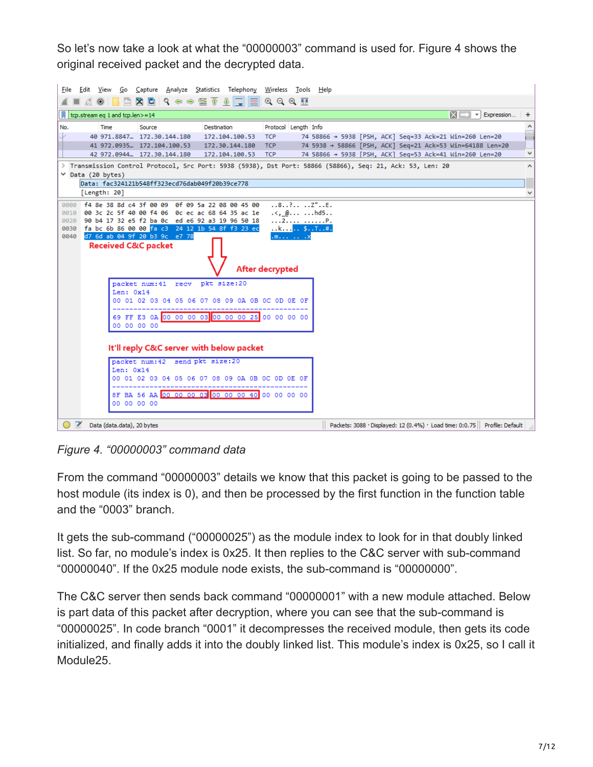So let's now take a look at what the "00000003" command is used for. Figure 4 shows the original received packet and the decrypted data.



*Figure 4. "00000003" command data*

From the command "00000003" details we know that this packet is going to be passed to the host module (its index is 0), and then be processed by the first function in the function table and the "0003" branch.

It gets the sub-command ("00000025") as the module index to look for in that doubly linked list. So far, no module's index is 0x25. It then replies to the C&C server with sub-command "00000040". If the 0x25 module node exists, the sub-command is "00000000".

The C&C server then sends back command "00000001" with a new module attached. Below is part data of this packet after decryption, where you can see that the sub-command is "00000025". In code branch "0001" it decompresses the received module, then gets its code initialized, and finally adds it into the doubly linked list. This module's index is 0x25, so I call it Module25.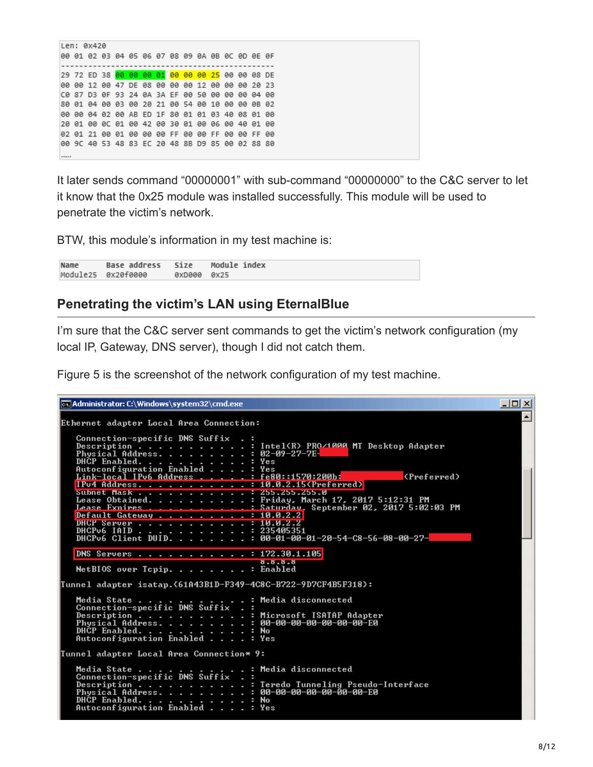It later sends command "00000001" with sub-command "00000000" to the C&C server to let it know that the 0x25 module was installed successfully. This module will be used to penetrate the victim's network.

BTW, this module's information in my test machine is:

Module index Name Base address Size Module25 ax2afeeee **BxD888 ØX25** 

#### **Penetrating the victim's LAN using EternalBlue**

I'm sure that the C&C server sent commands to get the victim's network configuration (my local IP, Gateway, DNS server), though I did not catch them.

Figure 5 is the screenshot of the network configuration of my test machine.

```
<u>니미지</u>
ox Administrator: C:\Windows\system32\cmd.exe
                                                                                                                                     \blacktriangleEthernet adapter Local Area Connection:
    Connection-specific DNS Suffix
                                                         Intel(R) PRO/1000 MT Desktop Adapter<br>02-09-27-7E-
    х
                                                         02-07-27-7E-<br>Yes<br>Yes<br><u>fe80::1570:200b:</u>
                                                      н
                              Enabled
                                                                                                  (Preferred)
                                                : 10.0.2.15 (Preferred)
    IPu4 Address. . . . . . . . .
                                                     : 255.255.255.0<br>: 255.255.255.0<br>: Friday, March 17, 2017 5:12:31 PM<br>: Saturday, September 02, 2017 5:02:03 PM<br>: 10.0.2.2
    Subnet Mask . .<br>Lease Obtained.<br>Lease Exnires .
    Default Gateway .
    DHCP Server . . . .<br>DHCP Server . . . . .<br>DHCPv6 IAID . . . . .
                                                         т
                                                      н
                                                      : 172.30.1.105DNS Servers . . . . . . . .
                                                        8.8.8.8<br>Enabled
    NetBIOS over Topip. . . . . . . .
                                                      ÷.
.<br>Tunnel adapter isatap.{61A43B1D-F349-4C8C-B722-9D7CF4B5F318}
    Media State.
                                                         Media disconnected
    Connection-specific DNS Suffix
                                                         Microsoft ISATAP Adapter<br>00-00-00-00-00-00-00-E0
    Description . . .<br>Physical Address.
                                 ٠
                                          ٠
                                    ł,
    DHCP Enabled.
                                                         No<br>Yes
    Autoconfiguration Enabled .
                                                       ٠
Tunnel adapter Local Area Connection* 9:
    Media State .
                                                         Media disconnected
    Media State<br>Connection-specific DNS Suffix
    Description . . .<br>Physical Address.<br>DHCP Enabled. . . .
                                                         Teredo Tunneling Pseudo-Interface<br>00-00-00-00-00-00-00-E0
                                 ٠
                                     ٠
                                       ٠
                                                         No<br>Yes
    pnor chapieu. . . . . . .<br>Autoconfiguration Enabled
```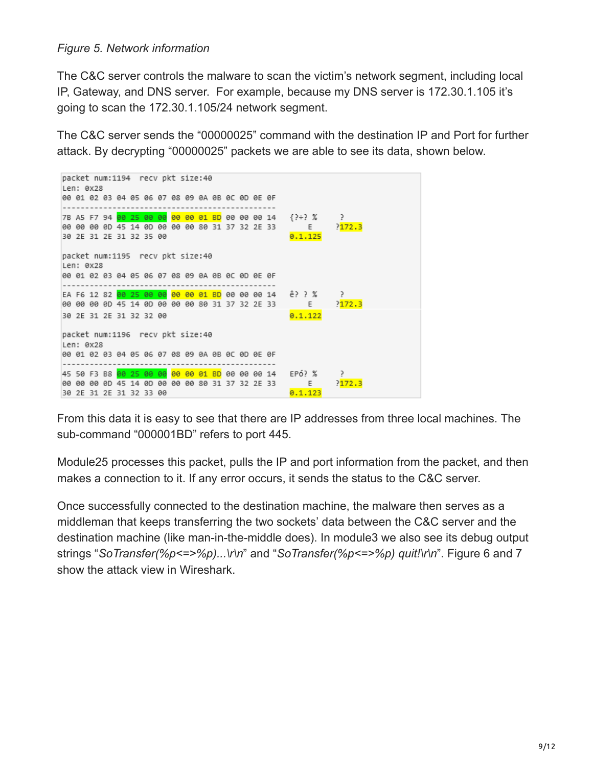#### *Figure 5. Network information*

The C&C server controls the malware to scan the victim's network segment, including local IP, Gateway, and DNS server. For example, because my DNS server is 172.30.1.105 it's going to scan the 172.30.1.105/24 network segment.

The C&C server sends the "00000025" command with the destination IP and Port for further attack. By decrypting "00000025" packets we are able to see its data, shown below.



From this data it is easy to see that there are IP addresses from three local machines. The sub-command "000001BD" refers to port 445.

Module25 processes this packet, pulls the IP and port information from the packet, and then makes a connection to it. If any error occurs, it sends the status to the C&C server.

Once successfully connected to the destination machine, the malware then serves as a middleman that keeps transferring the two sockets' data between the C&C server and the destination machine (like man-in-the-middle does). In module3 we also see its debug output strings "*SoTransfer(%p<=>%p)...\r\n*" and "*SoTransfer(%p<=>%p) quit!\r\n*". Figure 6 and 7 show the attack view in Wireshark.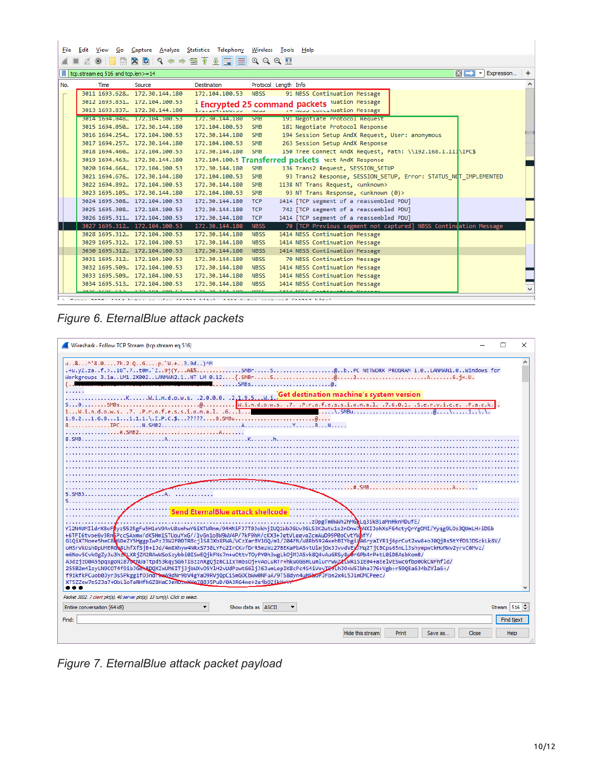| <b>X C 9 ♦ ↑ * * * * * * * * * * * *</b><br>$rac{1}{ 010 }$<br>$\odot$<br>$x \rightarrow -$<br>Expression<br>tcp.stream eq 516 and tcp.len>=14<br>Protocol Length Info<br>No.<br>Time<br>Destination<br>Source |
|----------------------------------------------------------------------------------------------------------------------------------------------------------------------------------------------------------------|
|                                                                                                                                                                                                                |
|                                                                                                                                                                                                                |
|                                                                                                                                                                                                                |
| 3011 1693.628., 172.30.144.180<br>91 NBSS Continuation Message<br>172.104.100.53 NBSS                                                                                                                          |
| 3012 1693.831  172.104.100.53<br><sup>1</sup> Encrypted 25 command packets luation Message                                                                                                                     |
| 3013 1693.837., 172.30.144.180<br>www.computation Message<br>1, 2, 10, 7, 100, 33, 100, 3                                                                                                                      |
| 191 Negotiate Protocol Request<br>5014 1694.048 172.104.100.53<br>172.30.144.180 SMB                                                                                                                           |
| 181 Negotiate Protocol Response<br>3015 1694.050  172.30.144.180<br>172.104.100.53<br><b>SMB</b>                                                                                                               |
| 194 Session Setup AndX Request, User: anonymous<br>3016 1694.254  172.104.100.53<br>172.30.144.180<br>SMB                                                                                                      |
| 263 Session Setup AndX Response<br>3017 1694.257., 172.30.144.180<br><b>SMB</b><br>172.104.100.53                                                                                                              |
| 150 Tree Connect AndX Request, Path: \\192.168.1.111\IPC\$<br>SMB<br>3018 1694.460  172.104.100.53<br>172.30.144.180                                                                                           |
| 172.104.100.5 Transferred packets hect AndX Response<br>3019 1694.463  172.30.144.180                                                                                                                          |
| 172.30.144.180<br>136 Trans2 Request, SESSION SETUP<br>3020 1694.664  172.104.100.53<br><b>SMB</b>                                                                                                             |
| 93 Trans2 Response, SESSION SETUP, Error: STATUS NOT IMPLEMENTED<br>3021 1694.676., 172.30.144.180<br>172.104.100.53<br><b>SMB</b>                                                                             |
| 1138 NT Trans Request, <unknown><br/>3022 1694.892  172.104.100.53<br/>172.30.144.180<br/><b>SMB</b></unknown>                                                                                                 |
| 93 NT Trans Response, <unknown (0)=""><br/>3023 1695.105  172.30.144.180<br/>172.104.100.53<br/><b>SMB</b></unknown>                                                                                           |
| 1414 [TCP segment of a reassembled PDU]<br>3024 1695.308  172.104.100.53<br>172.30.144.180<br><b>TCP</b>                                                                                                       |
| 742 [TCP segment of a reassembled PDU]<br>3025 1695.308., 172.104.100.53<br>172.30.144.180<br><b>TCP</b>                                                                                                       |
| 1414 [TCP segment of a reassembled PDU]<br>3026 1695.311. 172.104.100.53<br>172.30.144.180<br><b>TCP</b>                                                                                                       |
| 70 [TCP Previous segment not captured] NBSS Continuation Message<br>3027 1695.312  172.104.100.53<br>172.30.144.180<br><b>NBSS</b>                                                                             |
| 1414 NBSS Continuation Message<br>3028 1695.312  172.104.100.53<br>172.30.144.180<br><b>NBSS</b>                                                                                                               |
| 3029 1695.312  172.104.100.53<br><b>NBSS</b><br>1414 NBSS Continuation Message<br>172.30.144.180                                                                                                               |
| 1414 NBSS Continuation Message<br>3030 1695.312  172.104.100.53<br>172.30.144.180<br><b>NBSS</b>                                                                                                               |
| 70 NBSS Continuation Message<br>3031 1695.312  172.104.100.53<br>172.30.144.180<br><b>NBSS</b>                                                                                                                 |
| 1414 NBSS Continuation Message<br>3032 1695.509  172.104.100.53<br>172.30.144.180<br><b>NBSS</b>                                                                                                               |
| 1414 NBSS Continuation Message<br><b>NBSS</b><br>3033 1695.509  172.104.100.53<br>172.30.144.180                                                                                                               |
| 1414 NBSS Continuation Message<br><b>NBSS</b><br>3034 1695.513  172.104.100.53<br>172.30.144.180                                                                                                               |
| 172.38<br>MDCC<br>Forme nono, sasa bidir in idir /ssnsn bidir), sasa bidir iridirid /ssnsn bidir)                                                                                                              |

*Figure 6. EternalBlue attack packets*



*Figure 7. EternalBlue attack packet payload*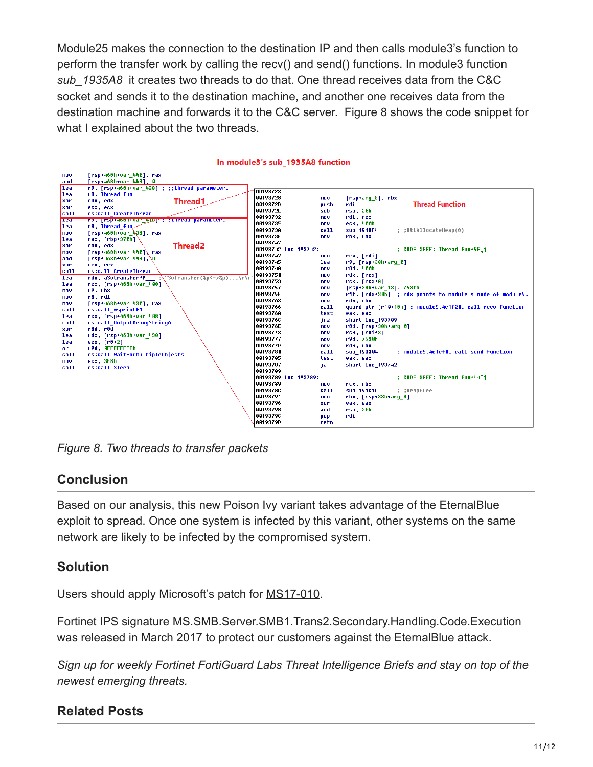Module25 makes the connection to the destination IP and then calls module3's function to perform the transfer work by calling the recv() and send() functions. In module3 function *sub\_1935A8* it creates two threads to do that. One thread receives data from the C&C socket and sends it to the destination machine, and another one receives data from the destination machine and forwards it to the C&C server. Figure 8 shows the code snippet for what I explained about the two threads.

| mov         | [rsp+468h+var 440], rax                       |          |                      |                            |                                                          |
|-------------|-----------------------------------------------|----------|----------------------|----------------------------|----------------------------------------------------------|
| and         | [rsp+468h+var 448], 0                         |          |                      |                            |                                                          |
| lea         | r9, [rsp+468h+var 428] ; ;;thread parameter.  |          |                      |                            |                                                          |
| llea        | r8, Thread_fun                                | 88193728 |                      |                            |                                                          |
| xor         | <b>Thread1</b><br>edx, edx                    | 00193728 | mou.                 | [rsp+arq 8], rbx           |                                                          |
| xor         | ecx, ecx                                      | 00193720 | <b>push</b>          | rdi                        | <b>Thread Function</b>                                   |
| call        | cs:call CreateThread                          | 0019372E | sub                  | rsp, 30h                   |                                                          |
| <b>Trea</b> | ry, prsp+4o8n+var 413 a torread parameter.    | 00193732 | mou                  | rdi, rcx                   |                                                          |
| llea        | r8. Thread fun-                               | 88193735 | mou                  | ecx, 400h                  |                                                          |
| nov         | $[rsp+468h+var$ 438], rax                     | 00193730 | call                 | sub 191BF4                 | ; ;RtlAllocateHeap(8)                                    |
| lea         | rax, [rbp+370h]                               | 0019373F | mov.                 | rbx, rax                   |                                                          |
| xor         | <b>Thread2</b><br>edx, edx                    | 88193742 |                      |                            |                                                          |
| nov         | $[rsp+468h+var_440]$ rax                      |          | 00193742 loc_193742: |                            | ; CODE XREF: Thread fun+5Fii                             |
| land        | $[rsp+468h+var 448], \$                       | 00193742 | mov                  | rcx, [rdi]                 |                                                          |
| <b>xor</b>  | ecx, ecx                                      | 88193745 | lea                  | $r9$ , [ $rsp+38h+arg 0$ ] |                                                          |
| lca11       | cs:call CreateThread                          | 00193740 | mou                  | r8d, 400h                  |                                                          |
| lea         | rdx, aSotransferPP :\"SoTransfer(%p<=>%p)\r\n | 00193750 | mou                  | rdx, [rcx]                 |                                                          |
| lea         | rcx, [rsp+468h+var 408]                       | 88193753 | mov                  | rcx, [rcx+8]               |                                                          |
| <b>MOV</b>  | r9, rbx                                       | 88193757 | mou                  | [rsp+38h+var 18], 7530h    |                                                          |
| mov         | r8. rdi                                       | 0019375F | mou                  |                            | r10, [rdx+30h] ; rdx points to module's node of module5. |
| nov         | [rsp+468h+var 430], rax                       | 00193763 | mov                  | rdx, rbx                   |                                                          |
| call        | cs:call wsprintfA                             | 88193766 | call                 |                            | qword ptr [r10+18h] ; module5.4e1f20, call recv function |
| lea         | rcx, [rsp+468h+var 408]                       | 0019376A | test                 | eax, eax                   |                                                          |
| call        | cs:call OutputDebugStringA                    | 00193760 | inz                  | short loc 193789           |                                                          |
| xor         | r8d. r8d                                      | 0019376E | mov.                 | r8d, [rsp+38h+arq 0]       |                                                          |
| lea         | rdx, [rsp+468h+var 438]                       | 88193773 | mou                  | $rcx, [rdi+8]$             |                                                          |
| lea.        | ecx, [r8+2]                                   | 88193777 | <b>MOV</b>           | r9d, 7530h                 |                                                          |
| or          | r9d, OFFFFFFFFh                               | 00193770 | mov.                 | rdx, rbx                   |                                                          |
| call        | cs:call WaitForMultipleObjects                | 00193780 | call                 | sub_193304                 | ; module5.4e1ef0, call send function                     |
| <b>MOV</b>  | ecx, 3E8h                                     | 00193785 | test                 | eax, eax                   |                                                          |
| call        | cs:call Sleep                                 | 88193787 | iz                   | short loc 193742           |                                                          |
|             |                                               | 88193789 |                      |                            |                                                          |
|             |                                               |          | 00193789 loc 193789: |                            | ; CODE XREF: Thread fun+44Ti                             |
|             |                                               | 88193789 | mov                  | rcx, rbx                   |                                                          |
|             |                                               | 0019378C | call                 | sub 191010                 | : :HeapFree                                              |
|             |                                               | 00193791 | nov                  | rbx, [rsp+38h+arq 8]       |                                                          |
|             |                                               | 88193796 | xor                  | eax, eax                   |                                                          |
|             |                                               | 00193798 | add                  | rsp, 30h                   |                                                          |
|             |                                               | 00193790 | pop                  | rdi                        |                                                          |
|             |                                               | 0019379D | retn                 |                            |                                                          |

#### In module3's sub 1935A8 function

*Figure 8. Two threads to transfer packets*

#### **Conclusion**

Based on our analysis, this new Poison Ivy variant takes advantage of the EternalBlue exploit to spread. Once one system is infected by this variant, other systems on the same network are likely to be infected by the compromised system.

#### **Solution**

Users should apply Microsoft's patch for [MS17-010](https://technet.microsoft.com/en-us/library/security/ms17-010.aspx).

Fortinet IPS signature MS.SMB.Server.SMB1.Trans2.Secondary.Handling.Code.Execution was released in March 2017 to protect our customers against the EternalBlue attack.

*[Sign up](http://ftnt.net/2iT7Mcp%C2%A0) for weekly Fortinet FortiGuard Labs Threat Intelligence Briefs and stay on top of the newest emerging threats.*

#### **Related Posts**